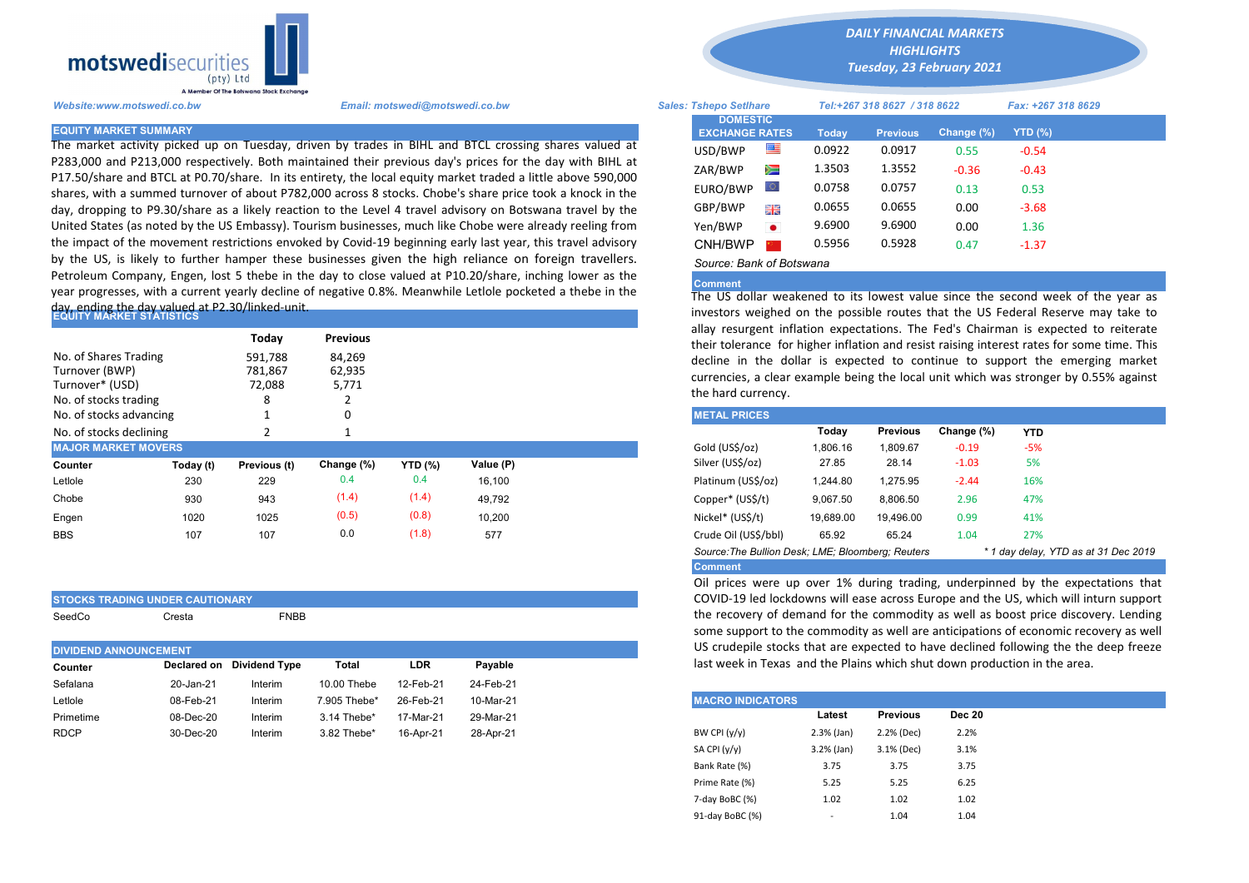

The market activity picked up on Tuesday, driven by trades in BIHL and BTCL crossing shares valued at P283,000 and P213,000 respectively. Both maintained their previous day's prices for the day with BIHL at P17.50/share and BTCL at P0.70/share. In its entirety, the local equity market traded a little above 590,000 shares, with a summed turnover of about P782,000 across 8 stocks. Chobe's share price took a knock in the day, dropping to P9.30/share as a likely reaction to the Level 4 travel advisory on Botswana travel by the United States (as noted by the US Embassy). Tourism businesses, much like Chobe were already reeling from the impact of the movement restrictions envoked by Covid-19 beginning early last year, this travel advisory by the US, is likely to further hamper these businesses given the high reliance on foreign travellers. Petroleum Company, Engen, lost 5 thebe in the day to close valued at P10.20/share, inching lower as the year progresses, with a current yearly decline of negative 0.8%. Meanwhile Letlole pocketed a thebe in the

## day, ending the day valued at P2.30/linked-unit.<br>|EQUITY MARKET STATISTICS

STOCKS TRADING UNDER CAUTIONARY

| No. of Shares Trading<br>Turnover (BWP)<br>Turnover* (USD)<br>No. of stocks trading |           | Today<br>591,788<br>781,867<br>72,088<br>8 | <b>Previous</b><br>84,269<br>62,935<br>5,771 |         |           | allay resurgent inflation expectations. The Fed's Chairman is expected<br>their tolerance for higher inflation and resist raising interest rates for<br>decline in the dollar is expected to continue to support the er<br>currencies, a clear example being the local unit which was stronger b<br>the hard currency. |           |           |         |       |  |
|-------------------------------------------------------------------------------------|-----------|--------------------------------------------|----------------------------------------------|---------|-----------|------------------------------------------------------------------------------------------------------------------------------------------------------------------------------------------------------------------------------------------------------------------------------------------------------------------------|-----------|-----------|---------|-------|--|
| No. of stocks advancing                                                             |           |                                            |                                              |         |           | <b>METAL PRICES</b>                                                                                                                                                                                                                                                                                                    |           |           |         |       |  |
| No. of stocks declining                                                             |           |                                            |                                              |         |           | Change (%)<br>Today<br><b>Previous</b><br><b>YTD</b>                                                                                                                                                                                                                                                                   |           |           |         |       |  |
| <b>MAJOR MARKET MOVERS</b>                                                          |           |                                            |                                              |         |           | Gold (US\$/oz)                                                                                                                                                                                                                                                                                                         | 1,806.16  | 1,809.67  | $-0.19$ | $-5%$ |  |
| Counter                                                                             | Today (t) | Previous (t)                               | Change (%)                                   | YTD (%) | Value (P) | Silver (US\$/oz)                                                                                                                                                                                                                                                                                                       | 27.85     | 28.14     | $-1.03$ | 5%    |  |
| Letlole                                                                             | 230       | 229                                        | 0.4                                          | 0.4     | 16,100    | Platinum (US\$/oz)                                                                                                                                                                                                                                                                                                     | 1,244.80  | 1,275.95  | $-2.44$ | 16%   |  |
| Chobe                                                                               | 930       | 943                                        | (1.4)                                        | (1.4)   | 49,792    | Copper* (US\$/t)                                                                                                                                                                                                                                                                                                       | 9,067.50  | 8,806.50  | 2.96    | 47%   |  |
| Engen                                                                               | 1020      | 1025                                       | (0.5)                                        | (0.8)   | 10,200    | Nickel* (US\$/t)                                                                                                                                                                                                                                                                                                       | 19,689.00 | 19.496.00 | 0.99    | 41%   |  |
| <b>BBS</b>                                                                          | 107       | 107                                        | 0.0                                          | (1.8)   | 577       | Crude Oil (US\$/bbl)                                                                                                                                                                                                                                                                                                   | 65.92     | 65.24     | 1.04    | 27%   |  |

| SeedCo                       | Cresta               | FNBB                      |                                                         |            |               | the recovery of demand for the commodity as well a<br>some support to the commodity as well are anticipation |         |                 |               |
|------------------------------|----------------------|---------------------------|---------------------------------------------------------|------------|---------------|--------------------------------------------------------------------------------------------------------------|---------|-----------------|---------------|
| <b>DIVIDEND ANNOUNCEMENT</b> |                      |                           |                                                         |            |               | US crudepile stocks that are expected to have declin                                                         |         |                 |               |
| Counter                      |                      | Declared on Dividend Type | Total                                                   | <b>LDR</b> | Payable       | last week in Texas and the Plains which shut down pr                                                         |         |                 |               |
| Sefalana                     | 20-Jan-21            | Interim                   | 10.00 Thebe                                             | 12-Feb-21  | 24-Feb-21     |                                                                                                              |         |                 |               |
| Letlole                      | 08-Feb-21            | Interim                   | 7.905 Thebe*                                            | 26-Feb-21  | 10-Mar-21     | <b>MACRO INDICATORS</b>                                                                                      |         |                 |               |
| Primetime                    | 08-Dec-20            | Interim                   | 3.14 Thebe*                                             | 17-Mar-21  | 29-Mar-21     |                                                                                                              | Latest  | <b>Previous</b> | <b>Dec 20</b> |
| <b>DDAD</b>                  | $\sim$ $\sim$ $\sim$ | .                         | $\sim$ $\sim$ $\sim$ $\sim$ $\sim$ $\sim$ $\sim$ $\sim$ |            | $\sim$ $\sim$ | $P(A)$ $P(B)$ $L, L, \Lambda$                                                                                | 2.20111 | $2.201(B - 1)$  | 2.201         |

*DAILY FINANCIAL MARKETS*

*HIGHLIGHTS Tuesday, 23 February 2021* 

| Website:www.motswedi.co.bw   | Email: motswedi@motswedi.co.bw                                                                                                                                                                                           | <b>Sales: Tshepo Setlhare</b> |                                          |           | Tel:+267 318 8627 / 318 8622 |                 | Fax: +267 318 8629 |                |  |
|------------------------------|--------------------------------------------------------------------------------------------------------------------------------------------------------------------------------------------------------------------------|-------------------------------|------------------------------------------|-----------|------------------------------|-----------------|--------------------|----------------|--|
| <b>EQUITY MARKET SUMMARY</b> |                                                                                                                                                                                                                          |                               | <b>DOMESTIC</b><br><b>EXCHANGE RATES</b> |           | Today                        | <b>Previous</b> | Change $(\%)$      | <b>YTD (%)</b> |  |
|                              | The market activity picked up on Tuesday, driven by trades in BIHL and BTCL crossing shares valued at                                                                                                                    |                               | USD/BWP                                  | 墨         | 0.0922                       | 0.0917          | 0.55               | $-0.54$        |  |
|                              | 2283,000 and P213,000 respectively. Both maintained their previous day's prices for the day with BIHL at<br>217.50/share and BTCL at P0.70/share. In its entirety, the local equity market traded a little above 590,000 |                               | ZAR/BWP                                  | ▓         | 1.3503                       | 1.3552          | $-0.36$            | $-0.43$        |  |
|                              | shares, with a summed turnover of about P782,000 across 8 stocks. Chobe's share price took a knock in the                                                                                                                |                               | EURO/BWP                                 | Ю.        | 0.0758                       | 0.0757          | 0.13               | 0.53           |  |
|                              | day, dropping to P9.30/share as a likely reaction to the Level 4 travel advisory on Botswana travel by the                                                                                                               |                               | GBP/BWP                                  | 開業        | 0.0655                       | 0.0655          | 0.00               | $-3.68$        |  |
|                              | Jnited States (as noted by the US Embassy). Tourism businesses, much like Chobe were already reeling from                                                                                                                |                               | Yen/BWP                                  | $\bullet$ | 9.6900                       | 9.6900          | 0.00               | 1.36           |  |
|                              | the impact of the movement restrictions envoked by Covid-19 beginning early last year, this travel advisory                                                                                                              |                               | CNH/BWP                                  |           | 0.5956                       | 0.5928          | 0.47               | $-1.37$        |  |
|                              | by the US, is likely to further hamper these businesses given the high reliance on foreign travellers.                                                                                                                   |                               | Source: Bank of Botswana                 |           |                              |                 |                    |                |  |

## Comment

The US dollar weakened to its lowest value since the second week of the year as investors weighed on the possible routes that the US Federal Reserve may take to allay resurgent inflation expectations. The Fed's Chairman is expected to reiterate their tolerance for higher inflation and resist raising interest rates for some time. This decline in the dollar is expected to continue to support the emerging market currencies, a clear example being the local unit which was stronger by 0.55% against the hard currency.

| <b>METAL PRICES</b>                                                                       |           |                 |            |            |  |  |  |  |
|-------------------------------------------------------------------------------------------|-----------|-----------------|------------|------------|--|--|--|--|
|                                                                                           | Today     | <b>Previous</b> | Change (%) | <b>YTD</b> |  |  |  |  |
| Gold (US\$/oz)                                                                            | 1.806.16  | 1.809.67        | $-0.19$    | $-5%$      |  |  |  |  |
| Silver (US\$/oz)                                                                          | 27.85     | 28.14           | $-1.03$    | 5%         |  |  |  |  |
| Platinum (US\$/oz)                                                                        | 1.244.80  | 1.275.95        | $-2.44$    | 16%        |  |  |  |  |
| Copper* (US\$/t)                                                                          | 9.067.50  | 8.806.50        | 2.96       | 47%        |  |  |  |  |
| Nickel* (US\$/t)                                                                          | 19.689.00 | 19.496.00       | 0.99       | 41%        |  |  |  |  |
| Crude Oil (US\$/bbl)                                                                      | 65.92     | 65.24           | 1.04       | 27%        |  |  |  |  |
| Source: The Bullion Desk; LME; Bloomberg: Reuters<br>* 1 day delay, YTD as at 31 Dec 2019 |           |                 |            |            |  |  |  |  |
| <b>Comment</b>                                                                            |           |                 |            |            |  |  |  |  |

Oil prices were up over 1% during trading, underpinned by the expectations that COVID-19 led lockdowns will ease across Europe and the US, which will inturn support the recovery of demand for the commodity as well as boost price discovery. Lending some support to the commodity as well are anticipations of economic recovery as well US crudepile stocks that are expected to have declined following the the deep freeze last week in Texas and the Plains which shut down production in the area.

| Letlole     | 08-Feb-21 | Interim | 7.905 Thebe* | 26-Feb-21 | 10-Mar-21 | <b>MACRO INDICATORS</b>      |                 |               |
|-------------|-----------|---------|--------------|-----------|-----------|------------------------------|-----------------|---------------|
| Primetime   | 08-Dec-20 | Interim | 3.14 Thebe*  | 17-Mar-21 | 29-Mar-21 | Latest                       | <b>Previous</b> | <b>Dec 20</b> |
| <b>RDCP</b> | 30-Dec-20 | Interim | 3.82 Thebe*  | 16-Apr-21 | 28-Apr-21 | BW CPI (y/y)<br>$2.3%$ (Jan) | 2.2% (Dec)      | 2.2%          |
|             |           |         |              |           |           | SA CPI (y/y)<br>3.2% (Jan)   | 3.1% (Dec)      | 3.1%          |
|             |           |         |              |           |           | Bank Rate (%)<br>3.75        | 3.75            | 3.75          |
|             |           |         |              |           |           | Prime Rate (%)<br>5.25       | 5.25            | 6.25          |
|             |           |         |              |           |           | 7-day BoBC (%)<br>1.02       | 1.02            | 1.02          |
|             |           |         |              |           |           | 91-day BoBC (%)              | 1.04            | 1.04          |